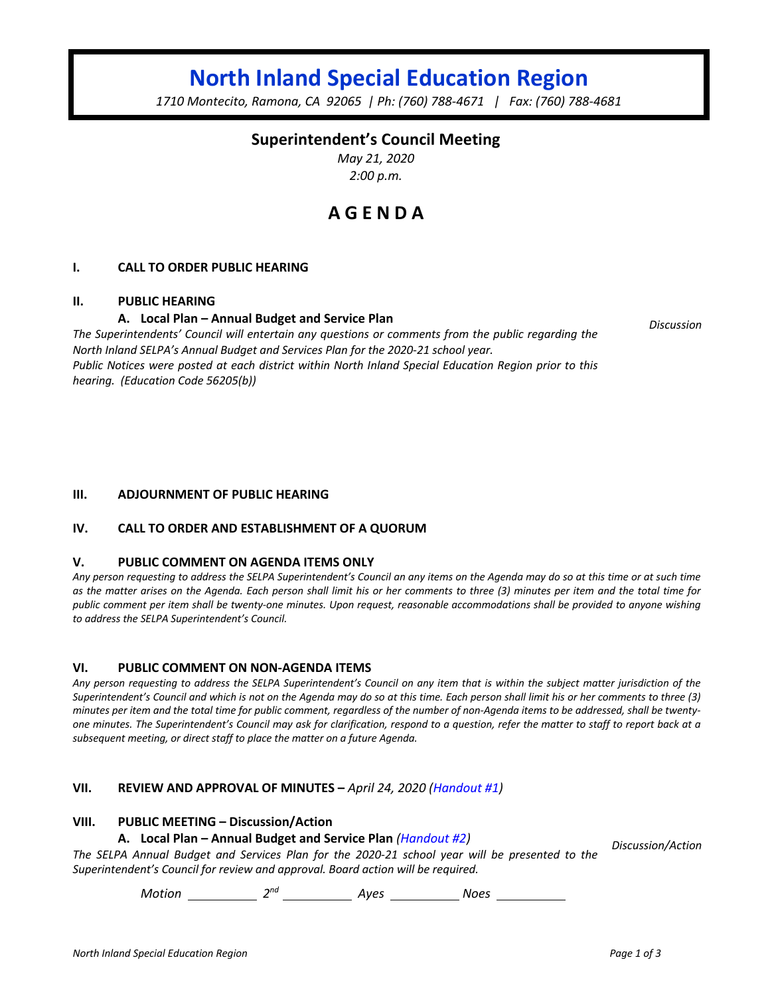# **North Inland Special Education Region**

*1710 Montecito, Ramona, CA 92065 | Ph: (760) 788-4671 | Fax: (760) 788-4681*

### **Superintendent's Council Meeting**

*May 21, 2020 2:00 p.m.*

## **A G E N D A**

#### **I. CALL TO ORDER PUBLIC HEARING**

#### **II. PUBLIC HEARING**

#### **A. Local Plan – Annual Budget and Service Plan**

*The Superintendents' Council will entertain any questions or comments from the public regarding the North Inland SELPA's Annual Budget and Services Plan for the 2020-21 school year. Public Notices were posted at each district within North Inland Special Education Region prior to this hearing. (Education Code 56205(b))*

#### **III. ADJOURNMENT OF PUBLIC HEARING**

#### **IV. CALL TO ORDER AND ESTABLISHMENT OF A QUORUM**

#### **V. PUBLIC COMMENT ON AGENDA ITEMS ONLY**

*Any person requesting to address the SELPA Superintendent's Council an any items on the Agenda may do so at this time or at such time as the matter arises on the Agenda. Each person shall limit his or her comments to three (3) minutes per item and the total time for public comment per item shall be twenty-one minutes. Upon request, reasonable accommodations shall be provided to anyone wishing to address the SELPA Superintendent's Council.*

#### **VI. PUBLIC COMMENT ON NON-AGENDA ITEMS**

*Any person requesting to address the SELPA Superintendent's Council on any item that is within the subject matter jurisdiction of the Superintendent's Council and which is not on the Agenda may do so at this time. Each person shall limit his or her comments to three (3) minutes per item and the total time for public comment, regardless of the number of non-Agenda items to be addressed, shall be twentyone minutes. The Superintendent's Council may ask for clarification, respond to a question, refer the matter to staff to report back at a subsequent meeting, or direct staff to place the matter on a future Agenda.*

#### **VII. REVIEW AND APPROVAL OF MINUTES –** *April 24, 2020 (Handout #1)*

#### **VIII. PUBLIC MEETING – Discussion/Action**

#### **A. Local Plan – Annual Budget and Service Plan** *(Handout #2)*

*Discussion/Action*

*The SELPA Annual Budget and Services Plan for the 2020-21 school year will be presented to the Superintendent's Council for review and approval. Board action will be required.*

*Motion* 2<sup>nd</sup> 2<sup>nd</sup> Ayes 2008 2008

*Discussion*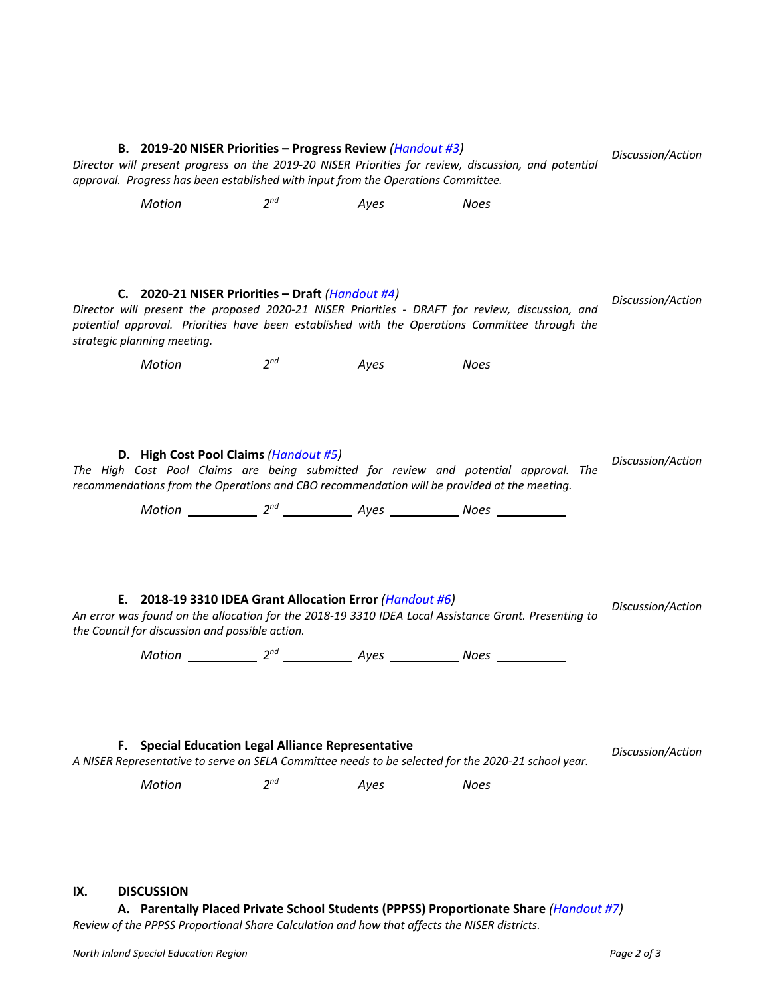#### **B. 2019-20 NISER Priorities – Progress Review** *(Handout #3)*

*approval. Progress has been established with input from the Operations Committee.*

*Director will present progress on the 2019-20 NISER Priorities for review, discussion, and potential* 

*Discussion/Action*

Motion 2<sup>nd</sup> 2<sup>nd</sup> Ayes Noes Noes **C. 2020-21 NISER Priorities – Draft** *(Handout #4) Director will present the proposed 2020-21 NISER Priorities - DRAFT for review, discussion, and potential approval. Priorities have been established with the Operations Committee through the strategic planning meeting. Discussion/Action Motion* 2<sup>nd</sup> 2<sup>nd</sup> 4yes 2008 Noes 2008 **D. High Cost Pool Claims** *(Handout #5) The High Cost Pool Claims are being submitted for review and potential approval. The recommendations from the Operations and CBO recommendation will be provided at the meeting. Discussion/Action Motion* 2<sup>nd</sup> 2<sup>nd</sup> 4yes 2008 Noes 2008 **E. 2018-19 3310 IDEA Grant Allocation Error** *(Handout #6) An error was found on the allocation for the 2018-19 3310 IDEA Local Assistance Grant. Presenting to the Council for discussion and possible action. Discussion/Action Motion* 2<sup>nd</sup> 2<sup>nd</sup> 4yes 2008 Noes 2008 **F. Special Education Legal Alliance Representative** *A NISER Representative to serve on SELA Committee needs to be selected for the 2020-21 school year. Discussion/Action Motion* 2<sup>nd</sup> 2<sup>nd</sup> 4yes 2008 2008 **IX. DISCUSSION A. Parentally Placed Private School Students (PPPSS) Proportionate Share** *(Handout #7) Review of the PPPSS Proportional Share Calculation and how that affects the NISER districts.*